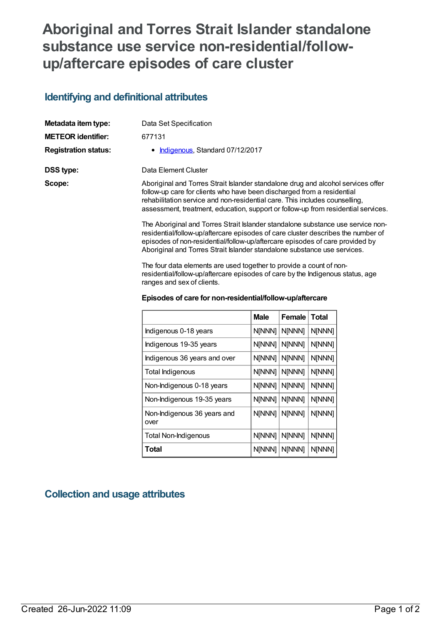# **Aboriginal and Torres Strait Islander standalone substance use service non-residential/followup/aftercare episodes of care cluster**

#### **Identifying and definitional attributes**

| Metadata item type:         | Data Set Specification                                                                                                                                                                                                                                                                                                          |
|-----------------------------|---------------------------------------------------------------------------------------------------------------------------------------------------------------------------------------------------------------------------------------------------------------------------------------------------------------------------------|
| <b>METEOR identifier:</b>   | 677131                                                                                                                                                                                                                                                                                                                          |
| <b>Registration status:</b> | • Indigenous, Standard 07/12/2017                                                                                                                                                                                                                                                                                               |
| <b>DSS type:</b>            | Data Element Cluster                                                                                                                                                                                                                                                                                                            |
| Scope:                      | Aboriginal and Torres Strait Islander standalone drug and alcohol services offer<br>follow-up care for clients who have been discharged from a residential<br>rehabilitation service and non-residential care. This includes counselling,<br>assessment, treatment, education, support or follow-up from residential services.  |
|                             | The Aboriginal and Torres Strait Islander standalone substance use service non-<br>residential/follow-up/aftercare episodes of care cluster describes the number of<br>episodes of non-residential/follow-up/aftercare episodes of care provided by<br>Aboriginal and Torres Strait Islander standalone substance use services. |
|                             | The four data elements are used together to provide a count of non-                                                                                                                                                                                                                                                             |

residential/follow-up/aftercare episodes of care by the Indigenous status, age ranges and sex of clients.

|                                     | <b>Male</b> | Female | Total  |
|-------------------------------------|-------------|--------|--------|
| Indigenous 0-18 years               | N[NNN]      | N[NNN] | N[NNN] |
| Indigenous 19-35 years              | N[NNN]      | N[NNN] | N[NNN] |
| Indigenous 36 years and over        | N[NNN]      | N[NNN] | N[NNN] |
| Total Indigenous                    | N[NNN]      | N[NNN] | N[NNN] |
| Non-Indigenous 0-18 years           | N[NNN]      | N[NNN] | N[NNN] |
| Non-Indigenous 19-35 years          | N[NNN]      | N[NNN] | N[NNN] |
| Non-Indigenous 36 years and<br>over | N[NNN]      | N[NNN] | N[NNN] |
| <b>Total Non-Indigenous</b>         | N[NNN]      | N[NNN] | N[NNN] |
| Total                               | N[NNN]      | N[NNN] | N[NNN] |

#### **Episodes of care for non-residential/follow-up/aftercare**

## **Collection and usage attributes**